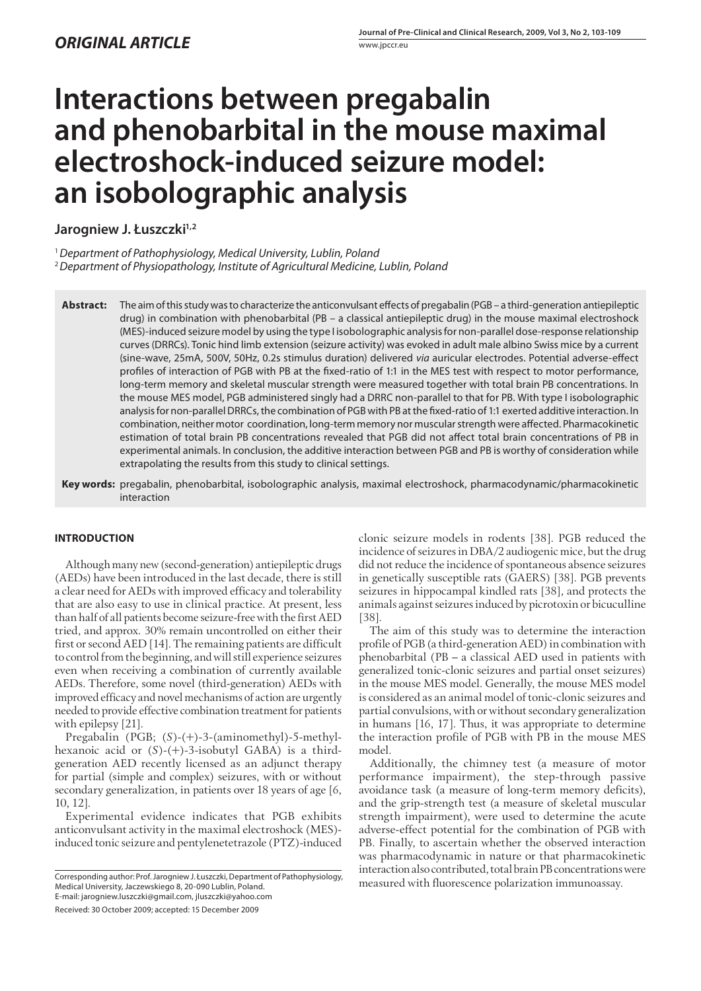# **Interactions between pregabalin and phenobarbital in the mouse maximal electroshock-induced seizure model: an isobolographic analysis**

Jarogniew J. Łuszczki<sup>1,2</sup>

<sup>1</sup> Department of Pathophysiology, Medical University, Lublin, Poland

<sup>2</sup> Department of Physiopathology, Institute of Agricultural Medicine, Lublin, Poland

Abstract: The aim of this study was to characterize the anticonvulsant effects of pregabalin (PGB - a third-generation antiepileptic drug) in combination with phenobarbital (PB – a classical antiepileptic drug) in the mouse maximal electroshock (MES)-induced seizure model by using the type I isobolographic analysis for non-parallel dose-response relationship curves (DRRCs). Tonic hind limb extension (seizure activity) was evoked in adult male albino Swiss mice by a current (sine-wave, 25mA, 500V, 50Hz, 0.2s stimulus duration) delivered via auricular electrodes. Potential adverse-effect profiles of interaction of PGB with PB at the fixed-ratio of 1:1 in the MES test with respect to motor performance, long-term memory and skeletal muscular strength were measured together with total brain PB concentrations. In the mouse MES model, PGB administered singly had a DRRC non-parallel to that for PB. With type I isobolographic analysis for non-parallel DRRCs, the combination of PGB with PB at the fixed-ratio of 1:1 exerted additive interaction. In combination, neither motor coordination, long-term memory nor muscular strength were affected. Pharmacokinetic estimation of total brain PB concentrations revealed that PGB did not affect total brain concentrations of PB in experimental animals. In conclusion, the additive interaction between PGB and PB is worthy of consideration while extrapolating the results from this study to clinical settings.

**Key words:** pregabalin, phenobarbital, isobolographic analysis, maximal electroshock, pharmacodynamic/pharmacokinetic interaction

# **INTRODUCTION**

Although many new (second-generation) antiepileptic drugs (AEDs) have been introduced in the last decade, there is still a clear need for AEDs with improved efficacy and tolerability that are also easy to use in clinical practice. At present, less than half of all patients become seizure-free with the first AED tried, and approx. 30% remain uncontrolled on either their first or second AED  $[14]$ . The remaining patients are difficult to control from the beginning, and will still experience seizures even when receiving a combination of currently available AEDs. Therefore, some novel (third-generation) AEDs with improved efficacy and novel mechanisms of action are urgently needed to provide effective combination treatment for patients with epilepsy [21].

Pregabalin (PGB; (*S*)-(+)-3-(aminomethyl)-5-methylhexanoic acid or (*S*)-(+)-3-isobutyl GABA) is a thirdgeneration AED recently licensed as an adjunct therapy for partial (simple and complex) seizures, with or without secondary generalization, in patients over 18 years of age [6, 10, 12].

Experimental evidence indicates that PGB exhibits anticonvulsant activity in the maximal electroshock (MES) induced tonic seizure and pentylenetetrazole (PTZ)-induced

Received: 30 October 2009; accepted: 15 December 2009

clonic seizure models in rodents [38]. PGB reduced the incidence of seizures in DBA/2 audiogenic mice, but the drug did not reduce the incidence of spontaneous absence seizures in genetically susceptible rats (GAERS) [38]. PGB prevents seizures in hippocampal kindled rats [38], and protects the animals against seizures induced by picrotoxin or bicuculline [38].

The aim of this study was to determine the interaction profile of PGB (a third-generation AED) in combination with phenobarbital (PB – a classical AED used in patients with generalized tonic-clonic seizures and partial onset seizures) in the mouse MES model. Generally, the mouse MES model is considered as an animal model of tonic-clonic seizures and partial convulsions, with or without secondary generalization in humans [16, 17]. Thus, it was appropriate to determine the interaction profile of PGB with PB in the mouse MES model.

Additionally, the chimney test (a measure of motor performance impairment), the step-through passive avoidance task (a measure of long-term memory deficits), and the grip-strength test (a measure of skeletal muscular strength impairment), were used to determine the acute adverse-effect potential for the combination of PGB with PB. Finally, to ascertain whether the observed interaction was pharmacodynamic in nature or that pharmacokinetic interaction also contributed, total brain PB concentrations were

Corresponding author: Prof. Jarogniew J. Łuszczki, Department of Pathophysiology,<br>Medical University, Jaczewskiego 8, 20-090 Lublin, Poland measured with fluorescence polarization immunoassay. Medical University, Jaczewskiego 8, 20-090 Lublin, Poland. E-mail: jarogniew.luszczki@gmail.com, jluszczki@yahoo.com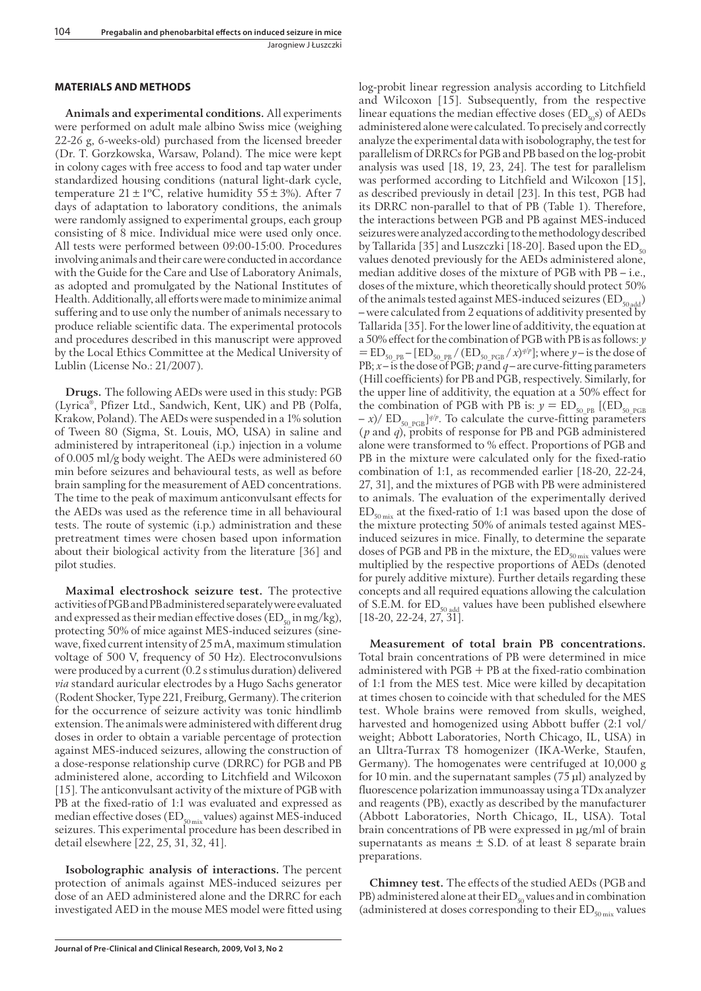### **MATERIALS AND METHODS**

**Animals and experimental conditions.** All experiments were performed on adult male albino Swiss mice (weighing 22-26 g, 6-weeks-old) purchased from the licensed breeder (Dr. T. Gorzkowska, Warsaw, Poland). The mice were kept in colony cages with free access to food and tap water under standardized housing conditions (natural light-dark cycle, temperature  $21 \pm 1$ °C, relative humidity 55 ± 3%). After 7 days of adaptation to laboratory conditions, the animals were randomly assigned to experimental groups, each group consisting of 8 mice. Individual mice were used only once. All tests were performed between 09:00-15:00. Procedures involving animals and their care were conducted in accordance with the Guide for the Care and Use of Laboratory Animals, as adopted and promulgated by the National Institutes of Health. Additionally, all efforts were made to minimize animal suffering and to use only the number of animals necessary to produce reliable scientific data. The experimental protocols and procedures described in this manuscript were approved by the Local Ethics Committee at the Medical University of Lublin (License No.: 21/2007).

**Drugs.** The following AEDs were used in this study: PGB (Lyrica®, Pfizer Ltd., Sandwich, Kent, UK) and PB (Polfa, Krakow, Poland). The AEDs were suspended in a 1% solution of Tween 80 (Sigma, St. Louis, MO, USA) in saline and administered by intraperitoneal (i.p.) injection in a volume of 0.005 ml/g body weight. The AEDs were administered 60 min before seizures and behavioural tests, as well as before brain sampling for the measurement of AED concentrations. The time to the peak of maximum anticonvulsant effects for the AEDs was used as the reference time in all behavioural tests. The route of systemic (i.p.) administration and these pretreatment times were chosen based upon information about their biological activity from the literature [36] and pilot studies.

**Maximal electroshock seizure test.** The protective activities of PGB and PB administered separately were evaluated and expressed as their median effective doses ( $ED_{50}$  in mg/kg), protecting 50% of mice against MES-induced seizures (sinewave, fixed current intensity of 25 mA, maximum stimulation voltage of 500 V, frequency of 50 Hz). Electroconvulsions were produced by a current (0.2 s stimulus duration) delivered *via* standard auricular electrodes by a Hugo Sachs generator (Rodent Shocker, Type 221, Freiburg, Germany). The criterion for the occurrence of seizure activity was tonic hindlimb extension. The animals were administered with different drug doses in order to obtain a variable percentage of protection against MES-induced seizures, allowing the construction of a dose-response relationship curve (DRRC) for PGB and PB administered alone, according to Litchfield and Wilcoxon [15]. The anticonvulsant activity of the mixture of PGB with PB at the fixed-ratio of 1:1 was evaluated and expressed as median effective doses ( $ED_{50\text{ mix}}$ values) against MES-induced seizures. This experimental procedure has been described in detail elsewhere [22, 25, 31, 32, 41].

**Isobolographic analysis of interactions.** The percent protection of animals against MES-induced seizures per dose of an AED administered alone and the DRRC for each investigated AED in the mouse MES model were fitted using log-probit linear regression analysis according to Litchfield and Wilcoxon [15]. Subsequently, from the respective linear equations the median effective doses  $(ED_{50}s)$  of AEDs administered alone were calculated. To precisely and correctly analyze the experimental data with isobolography, the test for parallelism of DRRCs for PGB and PB based on the log-probit analysis was used [18, 19, 23, 24]. The test for parallelism was performed according to Litchfield and Wilcoxon [15], as described previously in detail [23]. In this test, PGB had its DRRC non-parallel to that of PB (Table 1). Therefore, the interactions between PGB and PB against MES-induced seizures were analyzed according to the methodology described by Tallarida [35] and Luszczki [18-20]. Based upon the  $ED_{50}$ values denoted previously for the AEDs administered alone, median additive doses of the mixture of PGB with PB – i.e., doses of the mixture, which theoretically should protect 50% of the animals tested against MES-induced seizures  $(ED_{50 \text{ add}})$ – were calculated from 2 equations of additivity presented by Tallarida [35]. For the lower line of additivity, the equation at a 50% effect for the combination of PGB with PB is as follows: *y*  $=$  ED<sub>50\_PB</sub> – [ED<sub>50\_PB</sub> / (ED<sub>50\_PGB</sub> / *x*)<sup>*q*/*p*</sup>]; where *y* – is the dose of PB;  $x$  – is the dose of PGB;  $p$  and  $q$  – are curve-fitting parameters (Hill coefficients) for PB and PGB, respectively. Similarly, for the upper line of additivity, the equation at a 50% effect for the combination of PGB with PB is:  $y = ED_{50-PB}$  [(ED<sub>50\_PGB</sub>  $- x$ )/ ED<sub>50\_PGB</sub>]<sup> $q/p$ </sup>. To calculate the curve-fitting parameters (*p* and *q*), probits of response for PB and PGB administered alone were transformed to % effect. Proportions of PGB and PB in the mixture were calculated only for the fixed-ratio combination of 1:1, as recommended earlier [18-20, 22-24, 27, 31], and the mixtures of PGB with PB were administered to animals. The evaluation of the experimentally derived  $ED_{50 \text{ mix}}$  at the fixed-ratio of 1:1 was based upon the dose of the mixture protecting 50% of animals tested against MESinduced seizures in mice. Finally, to determine the separate doses of PGB and PB in the mixture, the  $ED_{\text{sonix}}$  values were multiplied by the respective proportions of AEDs (denoted for purely additive mixture). Further details regarding these concepts and all required equations allowing the calculation of S.E.M. for ED<sub>50 add</sub> values have been published elsewhere [18-20, 22-24, 27, 31].

**Measurement of total brain PB concentrations.**  Total brain concentrations of PB were determined in mice administered with  $PGB + PB$  at the fixed-ratio combination of 1:1 from the MES test. Mice were killed by decapitation at times chosen to coincide with that scheduled for the MES test. Whole brains were removed from skulls, weighed, harvested and homogenized using Abbott buffer (2:1 vol/ weight; Abbott Laboratories, North Chicago, IL, USA) in an Ultra-Turrax T8 homogenizer (IKA-Werke, Staufen, Germany). The homogenates were centrifuged at 10,000 g for 10 min. and the supernatant samples (75 μl) analyzed by fluorescence polarization immunoassay using a TDx analyzer and reagents (PB), exactly as described by the manufacturer (Abbott Laboratories, North Chicago, IL, USA). Total brain concentrations of PB were expressed in μg/ml of brain supernatants as means  $\pm$  S.D. of at least 8 separate brain preparations.

**Chimney test.** The effects of the studied AEDs (PGB and PB) administered alone at their  $ED_{50}$  values and in combination (administered at doses corresponding to their  $ED_{50 \text{ mix}}$  values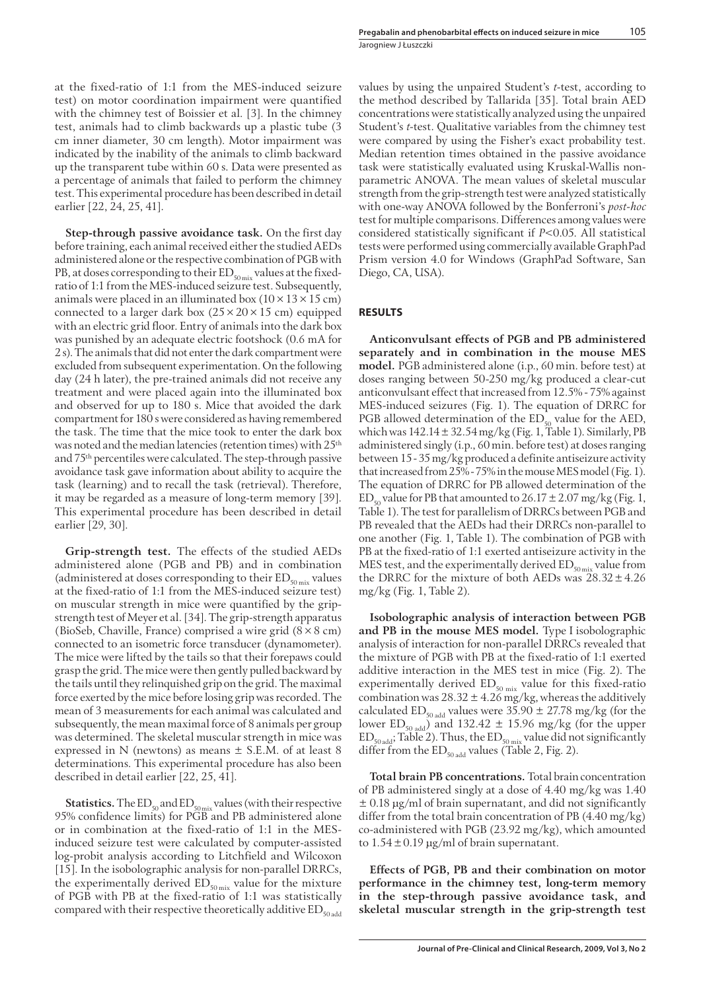at the fixed-ratio of 1:1 from the MES-induced seizure test) on motor coordination impairment were quantified with the chimney test of Boissier et al. [3]. In the chimney test, animals had to climb backwards up a plastic tube (3 cm inner diameter, 30 cm length). Motor impairment was indicated by the inability of the animals to climb backward up the transparent tube within 60 s. Data were presented as a percentage of animals that failed to perform the chimney test. This experimental procedure has been described in detail earlier [22, 24, 25, 41].

**Step-through passive avoidance task.** On the first day before training, each animal received either the studied AEDs administered alone or the respective combination of PGB with PB, at doses corresponding to their  $ED_{50\text{ mix}}$  values at the fixedratio of 1:1 from the MES-induced seizure test. Subsequently, animals were placed in an illuminated box  $(10 \times 13 \times 15 \text{ cm})$ connected to a larger dark box  $(25 \times 20 \times 15$  cm) equipped with an electric grid floor. Entry of animals into the dark box was punished by an adequate electric footshock (0.6 mA for 2 s). The animals that did not enter the dark compartment were excluded from subsequent experimentation. On the following day (24 h later), the pre-trained animals did not receive any treatment and were placed again into the illuminated box and observed for up to 180 s. Mice that avoided the dark compartment for 180 s were considered as having remembered the task. The time that the mice took to enter the dark box was noted and the median latencies (retention times) with 25th and 75th percentiles were calculated. The step-through passive avoidance task gave information about ability to acquire the task (learning) and to recall the task (retrieval). Therefore, it may be regarded as a measure of long-term memory [39]. This experimental procedure has been described in detail earlier [29, 30].

**Grip-strength test.** The effects of the studied AEDs administered alone (PGB and PB) and in combination (administered at doses corresponding to their  $ED_{50 \text{ mix}}$  values at the fixed-ratio of 1:1 from the MES-induced seizure test) on muscular strength in mice were quantified by the gripstrength test of Meyer et al. [34]. The grip-strength apparatus (BioSeb, Chaville, France) comprised a wire grid  $(8 \times 8 \text{ cm})$ connected to an isometric force transducer (dynamometer). The mice were lifted by the tails so that their forepaws could grasp the grid. The mice were then gently pulled backward by the tails until they relinquished grip on the grid. The maximal force exerted by the mice before losing grip was recorded. The mean of 3 measurements for each animal was calculated and subsequently, the mean maximal force of 8 animals per group was determined. The skeletal muscular strength in mice was expressed in N (newtons) as means ± S.E.M. of at least 8 determinations. This experimental procedure has also been described in detail earlier [22, 25, 41].

**Statistics.** The  $ED_{50}$  and  $ED_{50}$  mix values (with their respective 95% confidence limits) for PGB and PB administered alone or in combination at the fixed-ratio of 1:1 in the MESinduced seizure test were calculated by computer-assisted log-probit analysis according to Litchfield and Wilcoxon [15]. In the isobolographic analysis for non-parallel DRRCs, the experimentally derived  $ED_{50 \text{ mix}}$  value for the mixture of PGB with PB at the fixed-ratio of 1:1 was statistically compared with their respective theoretically additive  $ED_{\text{model}}$  values by using the unpaired Student's *t*-test, according to the method described by Tallarida [35]. Total brain AED concentrations were statistically analyzed using the unpaired Student's *t*-test. Qualitative variables from the chimney test were compared by using the Fisher's exact probability test. Median retention times obtained in the passive avoidance task were statistically evaluated using Kruskal-Wallis nonparametric ANOVA. The mean values of skeletal muscular strength from the grip-strength test were analyzed statistically with one-way ANOVA followed by the Bonferroni's *post-hoc* test for multiple comparisons. Differences among values were considered statistically significant if *P*<0.05. All statistical tests were performed using commercially available GraphPad Prism version 4.0 for Windows (GraphPad Software, San Diego, CA, USA).

### **RESULTS**

Anticonvulsant effects of PGB and PB administered **separately and in combination in the mouse MES model.** PGB administered alone (i.p., 60 min. before test) at doses ranging between 50-250 mg/kg produced a clear-cut anticonvulsant effect that increased from 12.5% - 75% against MES-induced seizures (Fig. 1). The equation of DRRC for PGB allowed determination of the  $ED_{50}$  value for the AED, which was  $142.14 \pm 32.54$  mg/kg (Fig. 1, Table 1). Similarly, PB administered singly (i.p., 60 min. before test) at doses ranging between 15 - 35 mg/kg produced a definite antiseizure activity that increased from 25% - 75% in the mouse MES model (Fig. 1). The equation of DRRC for PB allowed determination of the ED<sub>50</sub> value for PB that amounted to  $26.17 \pm 2.07$  mg/kg (Fig. 1, Table 1). The test for parallelism of DRRCs between PGB and PB revealed that the AEDs had their DRRCs non-parallel to one another (Fig. 1, Table 1). The combination of PGB with PB at the fixed-ratio of 1:1 exerted antiseizure activity in the MES test, and the experimentally derived  $ED_{50 \text{ mix}}$  value from the DRRC for the mixture of both AEDs was  $28.32 \pm 4.26$ mg/kg (Fig. 1, Table 2).

**Isobolographic analysis of interaction between PGB and PB in the mouse MES model.** Type I isobolographic analysis of interaction for non-parallel DRRCs revealed that the mixture of PGB with PB at the fixed-ratio of 1:1 exerted additive interaction in the MES test in mice (Fig. 2). The experimentally derived  $ED_{50 \text{ mix}}$  value for this fixed-ratio combination was  $28.32 \pm 4.26$  mg/kg, whereas the additively calculated ED<sub>50 add</sub> values were 35.90  $\pm$  27.78 mg/kg (for the lower ED<sub>50 add</sub>) and 132.42  $\pm$  15.96 mg/kg (for the upper  $ED_{\text{50 add}}$ ; Table 2). Thus, the  $ED_{\text{50 mix}}$  value did not significantly differ from the  $ED_{50 \text{ add}}$  values (Table 2, Fig. 2).

**Total brain PB concentrations.** Total brain concentration of PB administered singly at a dose of 4.40 mg/kg was 1.40  $\pm$  0.18 μg/ml of brain supernatant, and did not significantly differ from the total brain concentration of PB  $(4.40 \text{ mg/kg})$ co-administered with PGB (23.92 mg/kg), which amounted to 1.54 ± 0.19 μg/ml of brain supernatant.

**Eff ects of PGB, PB and their combination on motor performance in the chimney test, long-term memory in the step-through passive avoidance task, and skeletal muscular strength in the grip-strength test**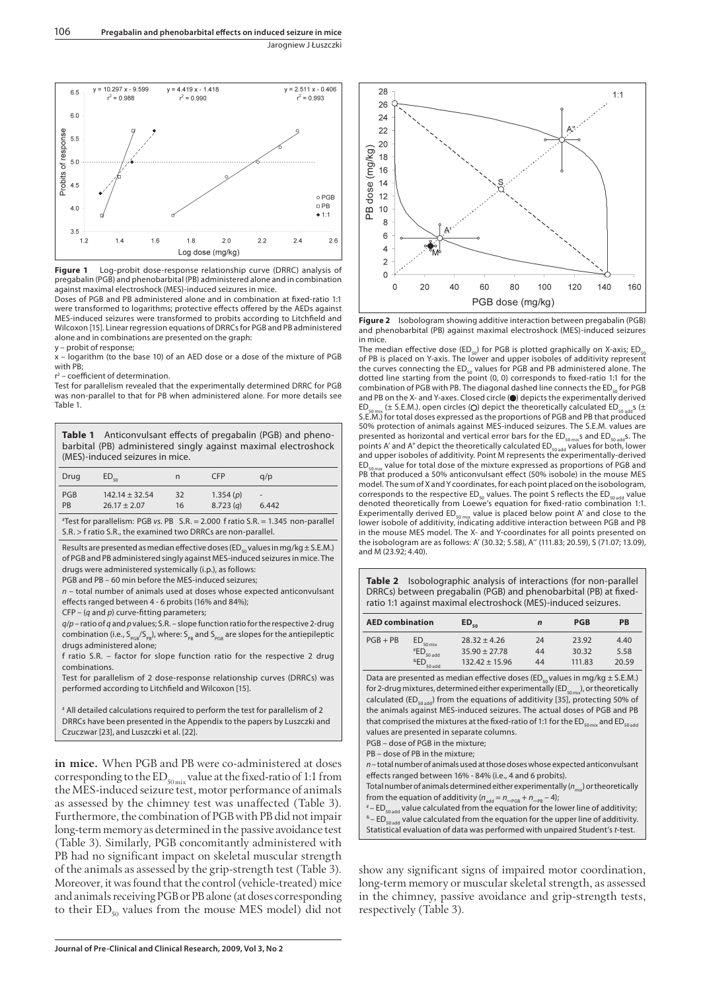

**Figure 1** Log-probit dose-response relationship curve (DRRC) analysis of pregabalin (PGB) and phenobarbital (PB) administered alone and in combination against maximal electroshock (MES)-induced seizures in mice.

Doses of PGB and PB administered alone and in combination at fixed-ratio 1:1 were transformed to logarithms; protective effects offered by the AEDs against MES-induced seizures were transformed to probits according to Litchfield and Wilcoxon [15]. Linear regression equations of DRRCs for PGB and PB administered alone and in combinations are presented on the graph:

y – probit of response; x – logarithm (to the base 10) of an AED dose or a dose of the mixture of PGB with PB;

2 - coefficient of determination.

r<sup>2</sup> – coefficient of determination.<br>Test for parallelism revealed that the experimentally determined DRRC for PGB was non-parallel to that for PB when administered alone. For more details see Table 1.

**Table 1** Anticonvulsant effects of pregabalin (PGB) and phenobarbital (PB) administered singly against maximal electroshock (MES)-induced seizures in mice.

| Drug | $ED_{50}$        | n  | <b>CFP</b> | q/p                      |
|------|------------------|----|------------|--------------------------|
| PGB  | $142.14 + 32.54$ | 32 | 1.354(p)   | $\overline{\phantom{a}}$ |
| PB   | $26.17 \pm 2.07$ | 16 | 8.723(q)   | 6.442                    |

# Test for parallelism: PGB vs. PB S.R. = 2.000 f ratio S.R. = 1.345 non-parallel S.R. > f ratio S.R., the examined two DRRCs are non-parallel.

Results are presented as median effective doses (ED $_{50}$  values in mg/kg  $\pm$  S.E.M.) of PGB and PB administered singly against MES-induced seizures in mice. The drugs were administered systemically (i.p.), as follows:

PGB and PB – 60 min before the MES-induced seizures;

 $n$  – total number of animals used at doses whose expected anticonvulsant effects ranged between 4 - 6 probits (16% and 84%):

 $CFP - (q$  and  $p)$  curve-fitting parameters;

 $q/p$  – ratio of q and p values; S.R. – slope function ratio for the respective 2-drug combination (i.e.,  $S_{p_{GB}}/S_{p_B}$ ), where:  $S_{p_B}$  and  $S_{p_{GB}}$  are slopes for the antiepileptic drugs administered alone;

f ratio S.R. – factor for slope function ratio for the respective 2 drug combinations.

Test for parallelism of 2 dose-response relationship curves (DRRCs) was performed according to Litchfield and Wilcoxon [15].

# All detailed calculations required to perform the test for parallelism of 2 DRRCs have been presented in the Appendix to the papers by Luszczki and Czuczwar [23], and Luszczki et al. [22].

**in mice.** When PGB and PB were co-administered at doses corresponding to the  $ED_{50\text{mix}}$  value at the fixed-ratio of 1:1 from the MES-induced seizure test, motor performance of animals as assessed by the chimney test was unaffected (Table 3). Furthermore, the combination of PGB with PB did not impair long-term memory as determined in the passive avoidance test (Table 3). Similarly, PGB concomitantly administered with PB had no significant impact on skeletal muscular strength of the animals as assessed by the grip-strength test (Table 3). Moreover, it was found that the control (vehicle-treated) mice and animals receiving PGB or PB alone (at doses corresponding to their  $ED_{50}$  values from the mouse MES model) did not



**Figure 2** Isobologram showing additive interaction between pregabalin (PGB) and phenobarbital (PB) against maximal electroshock (MES)-induced seizures in mice.

The median effective dose (ED<sub>50</sub>) for PGB is plotted graphically on X-axis; ED<sub>50</sub> of PB is placed on Y-axis. The lower and upper isoboles of additivity represent the curves connecting the  $ED_{50}$  values for PGB and PB administered alone. The dotted line starting from the point (0, 0) corresponds to fixed-ratio 1:1 for the combination of PGB with PB. The diagonal dashed line connects the  $ED_{50}$  for PGB and PB on the X- and Y-axes. Closed circle ( $\bullet$ ) depicts the experimentally derived ED<sub>somiv</sub> (± S.E.M.). open circles (O) depict the theoretically calculated ED. . . s (±  $E(E) = 5$ .E.M.). open circles (O) depict the theoretically calculated ED<sub>50</sub>. S.E.M.) for total doses expressed as the proportions of PGB and PB that produced 50% protection of animals against MES-induced seizures. The S.E.M. values are presented as horizontal and vertical error bars for the ED<sub>50 mix</sub>s and ED<sub>50 add</sub>s. The points A' and A'' depict the theoretically calculated ED<sub>50 add</sub> values for both, lower and upper isoboles of additivity. Point M represents the experimentally-derived  $ED_{50\,mix}$  value for total dose of the mixture expressed as proportions of PGB and PB that produced a 50% anticonvulsant effect (50% isobole) in the mouse MES model. The sum of X and Y coordinates, for each point placed on the isobologram, corresponds to the respective  $ED_{50}$  values. The point S reflects the  $ED_{50 \text{ add}}$  value denoted theoretically from Loewe's equation for fixed-ratio combination 1:1. Experimentally derived ED<sub>somix</sub> value is placed below point A' and close to the<br>lower isobole of additivity, indicating additive interaction between PGB and PB in the mouse MES model. The X- and Y-coordinates for all points presented on the isobologram are as follows: A' (30.32; 5.58), A'' (111.83; 20.59), S (71.07; 13.09), and M (23.92; 4.40).

**Table 2** Isobolographic analysis of interactions (for non-parallel DRRCs) between pregabalin (PGB) and phenobarbital (PB) at fixedratio 1:1 against maximal electroshock (MES)-induced seizures.

| <b>AED combination</b> |                                                                                    | $ED_{\epsilon_0}$                                       | n              | <b>PGB</b>               | <b>PB</b>             |
|------------------------|------------------------------------------------------------------------------------|---------------------------------------------------------|----------------|--------------------------|-----------------------|
| $PGB + PB$             | $ED_{50 \text{ mix}}$<br>$*$ ED <sub>50 add</sub><br><sup>&amp;</sup> ED<br>50 add | $28.32 + 4.26$<br>$35.90 + 27.78$<br>$132.42 \pm 15.96$ | 24<br>44<br>44 | 23.92<br>30.32<br>111.83 | 4.40<br>5.58<br>20.59 |

Data are presented as median effective doses (ED<sub>50</sub> values in mg/kg  $\pm$  S.E.M.) for 2-drug mixtures, determined either experimentally (ED<sub>50 mix</sub>), or theoretically calculated (ED<sub>50 add</sub>) from the equations of additivity [35], protecting 50% of the animals against MES-induced seizures. The actual doses of PGB and PB that comprised the mixtures at the fixed-ratio of 1:1 for the  $ED_{s_0_{mix}}$  and  $ED_{s_0_{add}}$ values are presented in separate columns.

PGB – dose of PGB in the mixture;

PB – dose of PB in the mixture;

 $n$  – total number of animals used at those doses whose expected anticonvulsant effects ranged between 16% - 84% (i.e., 4 and 6 probits).

Total number of animals determined either experimentally  $(n)$  or theoretically

from the equation of additivity  $(n_{add} = n_{-p_{GB}} + n_{-p_{B}} - 4)$ ;<br>\* – ED<sub>soadd</sub> value calculated from the equation for the lower line of additivity;  $k$  – ED<sub>50 add</sub> value calculated from the equation for the upper line of additivity.

Statistical evaluation of data was performed with unpaired Student's t-test.

show any significant signs of impaired motor coordination, long-term memory or muscular skeletal strength, as assessed in the chimney, passive avoidance and grip-strength tests, respectively (Table 3).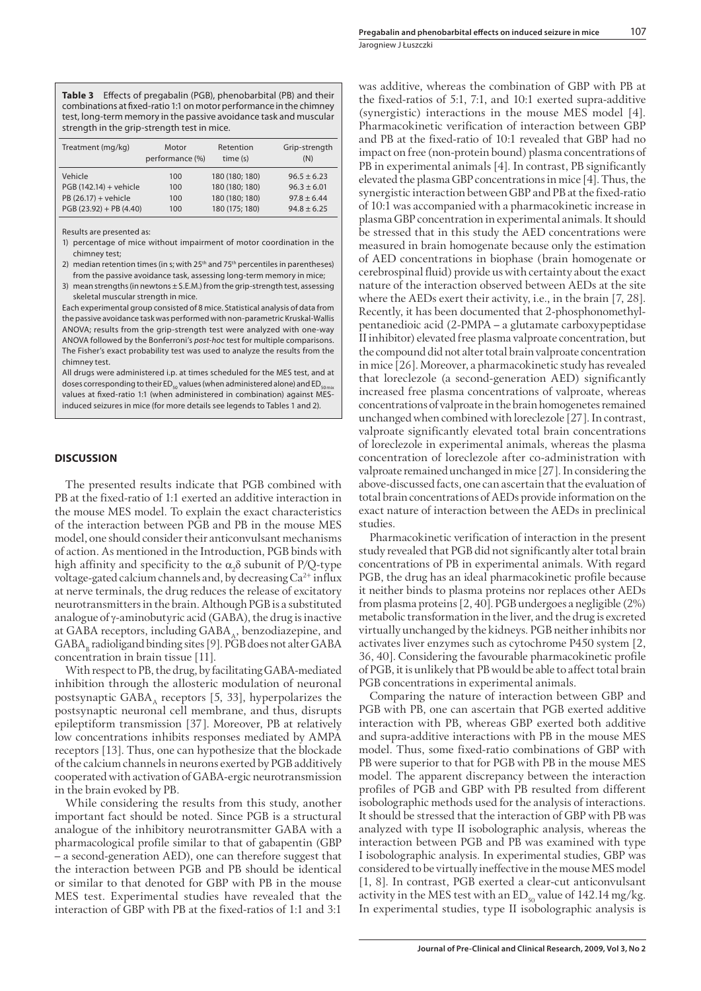**Table 3** Effects of pregabalin (PGB), phenobarbital (PB) and their combinations at fixed-ratio 1:1 on motor performance in the chimney test, long-term memory in the passive avoidance task and muscular strength in the grip-strength test in mice.

| Treatment (mg/kg)         | Motor<br>performance (%) | Retention<br>time (s) | Grip-strength<br>(N) |
|---------------------------|--------------------------|-----------------------|----------------------|
| Vehicle                   | 100                      | 180 (180; 180)        | $96.5 + 6.23$        |
| PGB (142.14) + vehicle    | 100                      | 180 (180; 180)        | $96.3 + 6.01$        |
| PB (26.17) + vehicle      | 100                      | 180 (180; 180)        | $97.8 + 6.44$        |
| $PGB (23.92) + PB (4.40)$ | 100                      | 180 (175; 180)        | $94.8 \pm 6.25$      |

Results are presented as:

- 1) percentage of mice without impairment of motor coordination in the chimney test;
- 2) median retention times (in s; with  $25<sup>th</sup>$  and  $75<sup>th</sup>$  percentiles in parentheses) from the passive avoidance task, assessing long-term memory in mice;
- 3) mean strengths (in newtons ± S.E.M.) from the grip-strength test, assessing skeletal muscular strength in mice.

Each experimental group consisted of 8 mice. Statistical analysis of data from the passive avoidance task was performed with non-parametric Kruskal-Wallis ANOVA; results from the grip-strength test were analyzed with one-way ANOVA followed by the Bonferroni's post-hoc test for multiple comparisons. The Fisher's exact probability test was used to analyze the results from the chimney test.

All drugs were administered i.p. at times scheduled for the MES test, and at doses corresponding to their ED<sub>so</sub> values (when administered alone) and ED<sub>so</sub> values at fixed-ratio 1:1 (when administered in combination) against MESinduced seizures in mice (for more details see legends to Tables 1 and 2).

#### **DISCUSSION**

The presented results indicate that PGB combined with PB at the fixed-ratio of 1:1 exerted an additive interaction in the mouse MES model. To explain the exact characteristics of the interaction between PGB and PB in the mouse MES model, one should consider their anticonvulsant mechanisms of action. As mentioned in the Introduction, PGB binds with high affinity and specificity to the  $\alpha_2 \delta$  subunit of P/Q-type voltage-gated calcium channels and, by decreasing  $Ca^{2+}$  influx at nerve terminals, the drug reduces the release of excitatory neurotransmitters in the brain. Although PGB is a substituted analogue of γ-aminobutyric acid (GABA), the drug is inactive at GABA receptors, including GABA, benzodiazepine, and  $GABA<sub>B</sub>$  radioligand binding sites [9]. PGB does not alter  $GABA$ concentration in brain tissue [11].

With respect to PB, the drug, by facilitating GABA-mediated inhibition through the allosteric modulation of neuronal postsynaptic  $GABA_A$  receptors [5, 33], hyperpolarizes the postsynaptic neuronal cell membrane, and thus, disrupts epileptiform transmission [37]. Moreover, PB at relatively low concentrations inhibits responses mediated by AMPA receptors [13]. Thus, one can hypothesize that the blockade of the calcium channels in neurons exerted by PGB additively cooperated with activation of GABA-ergic neurotransmission in the brain evoked by PB.

While considering the results from this study, another important fact should be noted. Since PGB is a structural analogue of the inhibitory neurotransmitter GABA with a pharmacological profile similar to that of gabapentin (GBP – a second-generation AED), one can therefore suggest that the interaction between PGB and PB should be identical or similar to that denoted for GBP with PB in the mouse MES test. Experimental studies have revealed that the interaction of GBP with PB at the fixed-ratios of 1:1 and 3:1

was additive, whereas the combination of GBP with PB at the fixed-ratios of 5:1, 7:1, and 10:1 exerted supra-additive (synergistic) interactions in the mouse MES model [4]. Pharmacokinetic verification of interaction between GBP and PB at the fixed-ratio of 10:1 revealed that GBP had no impact on free (non-protein bound) plasma concentrations of PB in experimental animals [4]. In contrast, PB significantly elevated the plasma GBP concentrations in mice [4]. Thus, the synergistic interaction between GBP and PB at the fixed-ratio of 10:1 was accompanied with a pharmacokinetic increase in plasma GBP concentration in experimental animals. It should be stressed that in this study the AED concentrations were measured in brain homogenate because only the estimation of AED concentrations in biophase (brain homogenate or cerebrospinal fluid) provide us with certainty about the exact nature of the interaction observed between AEDs at the site where the AEDs exert their activity, i.e., in the brain [7, 28]. Recently, it has been documented that 2-phosphonomethylpentanedioic acid (2-PMPA – a glutamate carboxypeptidase II inhibitor) elevated free plasma valproate concentration, but the compound did not alter total brain valproate concentration in mice [26]. Moreover, a pharmacokinetic study has revealed that loreclezole (a second-generation AED) significantly increased free plasma concentrations of valproate, whereas concentrations of valproate in the brain homogenetes remained unchanged when combined with loreclezole [27]. In contrast, valproate significantly elevated total brain concentrations of loreclezole in experimental animals, whereas the plasma concentration of loreclezole after co-administration with valproate remained unchanged in mice [27]. In considering the above-discussed facts, one can ascertain that the evaluation of total brain concentrations of AEDs provide information on the exact nature of interaction between the AEDs in preclinical studies.

Pharmacokinetic verification of interaction in the present study revealed that PGB did not significantly alter total brain concentrations of PB in experimental animals. With regard PGB, the drug has an ideal pharmacokinetic profile because it neither binds to plasma proteins nor replaces other AEDs from plasma proteins [2, 40]. PGB undergoes a negligible (2%) metabolic transformation in the liver, and the drug is excreted virtually unchanged by the kidneys. PGB neither inhibits nor activates liver enzymes such as cytochrome P450 system [2, 36, 40]. Considering the favourable pharmacokinetic profile of PGB, it is unlikely that PB would be able to affect total brain PGB concentrations in experimental animals.

Comparing the nature of interaction between GBP and PGB with PB, one can ascertain that PGB exerted additive interaction with PB, whereas GBP exerted both additive and supra-additive interactions with PB in the mouse MES model. Thus, some fixed-ratio combinations of GBP with PB were superior to that for PGB with PB in the mouse MES model. The apparent discrepancy between the interaction profiles of PGB and GBP with PB resulted from different isobolographic methods used for the analysis of interactions. It should be stressed that the interaction of GBP with PB was analyzed with type II isobolographic analysis, whereas the interaction between PGB and PB was examined with type I isobolographic analysis. In experimental studies, GBP was considered to be virtually ineffective in the mouse MES model [1, 8]. In contrast, PGB exerted a clear-cut anticonvulsant activity in the MES test with an  $ED_{50}$  value of 142.14 mg/kg. In experimental studies, type II isobolographic analysis is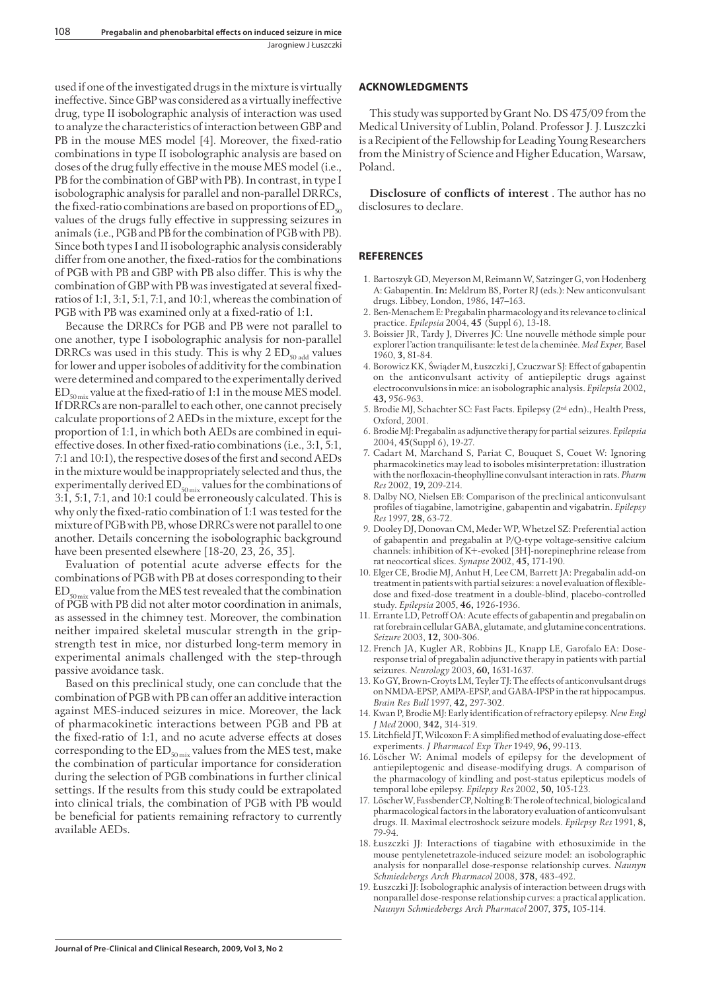used if one of the investigated drugs in the mixture is virtually ineffective. Since GBP was considered as a virtually ineffective drug, type II isobolographic analysis of interaction was used to analyze the characteristics of interaction between GBP and PB in the mouse MES model [4]. Moreover, the fixed-ratio combinations in type II isobolographic analysis are based on doses of the drug fully effective in the mouse MES model (i.e., PB for the combination of GBP with PB). In contrast, in type I isobolographic analysis for parallel and non-parallel DRRCs, the fixed-ratio combinations are based on proportions of  $ED_{50}$ values of the drugs fully effective in suppressing seizures in animals (i.e., PGB and PB for the combination of PGB with PB). Since both types I and II isobolographic analysis considerably differ from one another, the fixed-ratios for the combinations of PGB with PB and GBP with PB also differ. This is why the combination of GBP with PB was investigated at several fixedratios of 1:1, 3:1, 5:1, 7:1, and 10:1, whereas the combination of PGB with PB was examined only at a fixed-ratio of 1:1.

Because the DRRCs for PGB and PB were not parallel to one another, type I isobolographic analysis for non-parallel DRRCs was used in this study. This is why 2  $ED_{\text{50 add}}$  values for lower and upper isoboles of additivity for the combination were determined and compared to the experimentally derived  $ED_{\text{spansion}}$  value at the fixed-ratio of 1:1 in the mouse MES model. If DRRCs are non-parallel to each other, one cannot precisely calculate proportions of 2 AEDs in the mixture, except for the proportion of 1:1, in which both AEDs are combined in equieffective doses. In other fixed-ratio combinations (i.e., 3:1, 5:1, 7:1 and 10:1), the respective doses of the first and second AEDs in the mixture would be inappropriately selected and thus, the experimentally derived  $ED_{50\text{mix}}$  values for the combinations of 3:1, 5:1, 7:1, and 10:1 could be erroneously calculated. This is why only the fixed-ratio combination of 1:1 was tested for the mixture of PGB with PB, whose DRRCs were not parallel to one another. Details concerning the isobolographic background have been presented elsewhere [18-20, 23, 26, 35].

Evaluation of potential acute adverse effects for the combinations of PGB with PB at doses corresponding to their  $ED_{50 \ldots}$  value from the MES test revealed that the combination of PGB with PB did not alter motor coordination in animals, as assessed in the chimney test. Moreover, the combination neither impaired skeletal muscular strength in the gripstrength test in mice, nor disturbed long-term memory in experimental animals challenged with the step-through passive avoidance task.

Based on this preclinical study, one can conclude that the combination of PGB with PB can offer an additive interaction against MES-induced seizures in mice. Moreover, the lack of pharmacokinetic interactions between PGB and PB at the fixed-ratio of 1:1, and no acute adverse effects at doses corresponding to the  $ED_{50\text{mix}}$  values from the MES test, make the combination of particular importance for consideration during the selection of PGB combinations in further clinical settings. If the results from this study could be extrapolated into clinical trials, the combination of PGB with PB would be beneficial for patients remaining refractory to currently available AEDs.

### **ACKNOWLEDGMENTS**

This study was supported by Grant No. DS 475/09 from the Medical University of Lublin, Poland. Professor J. J. Luszczki is a Recipient of the Fellowship for Leading Young Researchers from the Ministry of Science and Higher Education, Warsaw, Poland.

**Disclosure of conflicts of interest**. The author has no disclosures to declare.

# **REFERENCES**

- 1. Bartoszyk GD, Meyerson M, Reimann W, Satzinger G, von Hodenberg A: Gabapentin. **In:** Meldrum BS, Porter RJ (eds.): New anticonvulsant drugs. Libbey, London, 1986, 147–163.
- 2. Ben-Menachem E: Pregabalin pharmacology and its relevance to clinical practice. *Epilepsia* 2004, **45** (Suppl 6), 13-18.
- 3. Boissier JR, Tardy J, Diverres JC: Une nouvelle méthode simple pour explorer l'action tranquilisante: le test de la cheminée. *Med Exper,* Basel 1960, **3,** 81-84.
- 4. Borowicz KK, Świąder M, Łuszczki J, Czuczwar SJ: Effect of gabapentin on the anticonvulsant activity of antiepileptic drugs against electroconvulsions in mice: an isobolographic analysis. *Epilepsia* 2002, **43,** 956-963.
- 5. Brodie MJ, Schachter SC: Fast Facts. Epilepsy (2nd edn)., Health Press, Oxford, 2001.
- 6. Brodie MJ: Pregabalin as adjunctive therapy for partial seizures. *Epilepsia* 2004, **45**(Suppl 6), 19-27.
- 7. Cadart M, Marchand S, Pariat C, Bouquet S, Couet W: Ignoring pharmacokinetics may lead to isoboles misinterpretation: illustration with the norfloxacin-theophylline convulsant interaction in rats. *Pharm Res* 2002, **19,** 209-214.
- 8. Dalby NO, Nielsen EB: Comparison of the preclinical anticonvulsant profi les of tiagabine, lamotrigine, gabapentin and vigabatrin. *Epilepsy Res* 1997, **28,** 63-72.
- 9. Dooley DJ, Donovan CM, Meder WP, Whetzel SZ: Preferential action of gabapentin and pregabalin at P/Q-type voltage-sensitive calcium channels: inhibition of K+-evoked [3H]-norepinephrine release from rat neocortical slices. *Synapse* 2002, **45,** 171-190.
- 10. Elger CE, Brodie MJ, Anhut H, Lee CM, Barrett JA: Pregabalin add-on treatment in patients with partial seizures: a novel evaluation of flexibledose and fixed-dose treatment in a double-blind, placebo-controlled study. *Epilepsia* 2005, **46,** 1926-1936.
- 11. Errante LD, Petroff OA: Acute effects of gabapentin and pregabalin on rat forebrain cellular GABA, glutamate, and glutamine concentrations. *Seizure* 2003, **12,** 300-306.
- 12. French JA, Kugler AR, Robbins JL, Knapp LE, Garofalo EA: Doseresponse trial of pregabalin adjunctive therapy in patients with partial seizures. *Neurology* 2003, **60,** 1631-1637.
- 13. Ko GY, Brown-Croyts LM, Teyler TJ: The effects of anticonvulsant drugs on NMDA-EPSP, AMPA-EPSP, and GABA-IPSP in the rat hippocampus. *Brain Res Bull* 1997, **42,** 297-302.
- 14. Kwan P, Brodie MJ: Early identification of refractory epilepsy. New Engl *J Med* 2000, **342,** 314-319.
- 15. Litchfield JT, Wilcoxon F: A simplified method of evaluating dose-effect experiments. *J Pharmacol Exp Ther* 1949, **96,** 99-113.
- 16. Löscher W: Animal models of epilepsy for the development of antiepileptogenic and disease-modifying drugs. A comparison of the pharmacology of kindling and post-status epilepticus models of temporal lobe epilepsy. *Epilepsy Res* 2002, **50,** 105-123.
- 17. Löscher W, Fassbender CP, Nolting B: The role of technical, biological and pharmacological factors in the laboratory evaluation of anticonvulsant drugs. II. Maximal electroshock seizure models. *Epilepsy Res* 1991, **8,** 79-94.
- 18. Łuszczki JJ: Interactions of tiagabine with ethosuximide in the mouse pentylenetetrazole-induced seizure model: an isobolographic analysis for nonparallel dose-response relationship curves. *Naunyn Schmiedebergs Arch Pharmacol* 2008, **378,** 483-492.
- 19. Łuszczki JJ: Isobolographic analysis of interaction between drugs with nonparallel dose-response relationship curves: a practical application. *Naunyn Schmiedebergs Arch Pharmacol* 2007, **375,** 105-114.